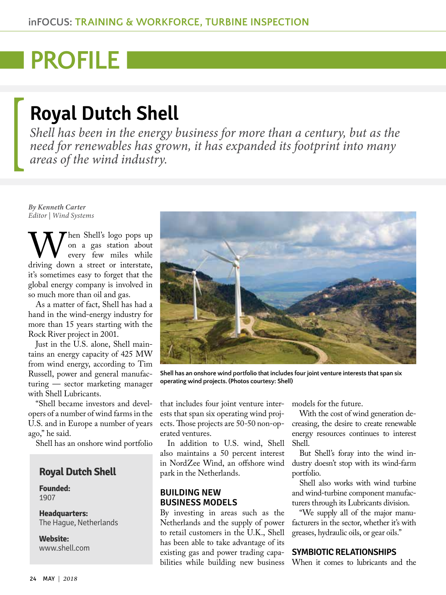# **PROFILE**

# **Royal Dutch Shell**

*Shell has been in the energy business for more than a century, but as the need for renewables has grown, it has expanded its footprint into many areas of the wind industry.*

*By Kenneth Carter Editor | Wind Systems*

When Shell's logo pops up<br>
on a gas station about<br>
driving down a street or interstate, on a gas station about every few miles while it's sometimes easy to forget that the global energy company is involved in so much more than oil and gas.

As a matter of fact, Shell has had a hand in the wind-energy industry for more than 15 years starting with the Rock River project in 2001.

Just in the U.S. alone, Shell maintains an energy capacity of 425 MW from wind energy, according to Tim Russell, power and general manufacturing — sector marketing manager with Shell Lubricants.

"Shell became investors and developers of a number of wind farms in the U.S. and in Europe a number of years ago," he said.

Shell has an onshore wind portfolio

# **Royal Dutch Shell**

**Founded:** 1907

**Headquarters:**  The Hague, Netherlands

**Website:**  [www.shell.com](http://www.shell.com)



**Shell has an onshore wind portfolio that includes four joint venture interests that span six operating wind projects. (Photos courtesy: Shell)**

that includes four joint venture interests that span six operating wind projects. Those projects are 50-50 non-operated ventures.

In addition to U.S. wind, Shell also maintains a 50 percent interest in NordZee Wind, an offshore wind park in the Netherlands.

## **BUILDING NEW BUSINESS MODELS**

By investing in areas such as the Netherlands and the supply of power to retail customers in the U.K., Shell has been able to take advantage of its existing gas and power trading capabilities while building new business models for the future.

With the cost of wind generation decreasing, the desire to create renewable energy resources continues to interest Shell.

But Shell's foray into the wind industry doesn't stop with its wind-farm portfolio.

Shell also works with wind turbine and wind-turbine component manufacturers through its Lubricants division.

"We supply all of the major manufacturers in the sector, whether it's with greases, hydraulic oils, or gear oils."

### **SYMBIOTIC RELATIONSHIPS**

When it comes to lubricants and the